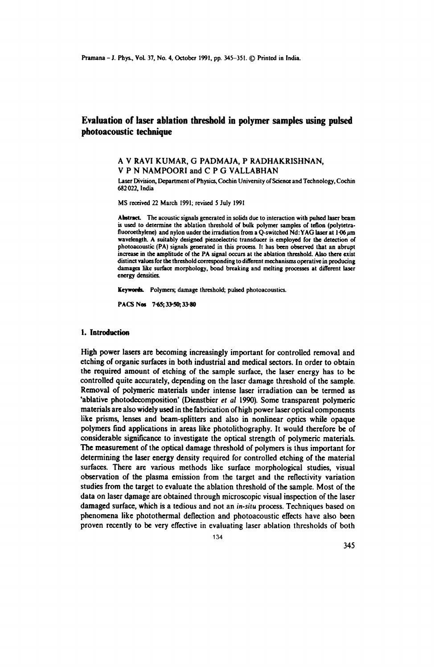# **Evaluation of laser ablation threshold in polymer samples using pulsed pbotoacoustic tecbnique**

## A Y RAYI KUMAR, G PADMAJA, P RADHAKRISHNAN, Y P N NAMPOORI and C P G YALLABHAN

Laser Division. Department of Physics, Cochin University of Science and Technology. Cochin 682022, India

MS received 22 March 1991; revised *S* July 1991

Abstract. The acoustic signals generated in solids due to interaction with pulsed laser beam is used to determine the ablation threshold of bulk polymer samples of teflon (polytetrafluoroethylene) and nylon under the irradiation from a Q-switched Nd: YAG laser at  $1\,06\,\mu\text{m}$ wavelength. A suitably designed piezoelectric transducer is employed for the detection of photoacoustic (PA) signals generated in this process. It has been observed that an abrupt increase in the amplitude of the PA signal occurs at the ablation threshold. Also there exist distinct values for the threshold corresponding to different mechanisms operative in producing damages like surface morphology. bond breaking and melting processes at different laser energy densities.

Keywords. Polymers; damage threshold; pulsed photoacoustics.

PACS Nos 7-65;33-50;33·80

#### 1. **Introduction**

High power lasers are becoming increasingly important for controlled removal and etcbing of organic surfaces in botb industrial and medical sectors. In order to obtain the required amount of etching of the sample surface, the laser energy has to be controlled quite accurately, depending on the laser damage threshold of the sample. Removal of polymeric materials under intense laser irradiation can be termed as 'ablative photodecomposition' (Dienstbier *et al* 1990). Some transparent polymeric materials are also widely used in the fabrication of high power laser optical components like prisms, lenses and beam-splitters and also in nonlinear optics while opaque polymers find applications in areas like photolithography. It would therefore be of considerable significance to investigate the optical strength of polymeric materials. The measurement of the optical damage threshold of polymers is thus important for determining the laser energy density required for controlled etching of the material surfaces. There are various methods like surface morphological studies, visual observation of the plasma emission from the target and the reflectivity variation studies from the target to evaluate the ablation threshold of the sample. Most of the data on laser damage are obtained through microscopic visual inspection of the laser damaged surface, which is a tedious and not an *in-situ* process. Techniques based on phenomena like photothermal deflection and photoacoustic effects have also been proven recently to be very effective in evaluating laser ablation thresholds of both

134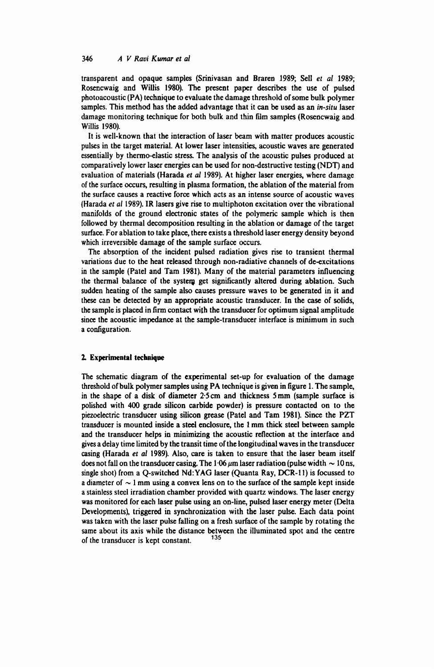transparent and opaque samples (Srinivasan and Braren 1989; Sell *et al* 1989; Rosencwaig and Willis 1980). The present paper describes the use of pulsed photoacoustic (PA) technique to evaluate the damage threshold of some bulk polymer samples. This method has the added advantage that it can be used as an *in-situ* laser damage monitoring technique for both bulk and thin film samples (Rosencwaig and Willis 1980).

It is well-known that the interaction of laser beam with matter produces acoustic pulses in the target material. At lower laser intensities, acoustic waves are generated essentially by thermo-elastic stress. The analysis of the acoustic pulses produced at comparatively lower laser energies can be used for non-destructive testing (NDT) and evaluation of materials (Harada *et al* 1989). At higher laser energies, where damage of the surface occurs, resulting in plasma formation, the ablation of the material from the surface causes a reactive force which acts as an intense source of acoustic waves (Harada *et al* 1989). IR lasers give rise to multiphoton excitation over the vibrational manifolds of the ground electronic states of the polymeric sample which is then followed by thermal decomposition resulting in the ablation or damage of the target surface. For ablation to take place, there exists a threshold laser energy density beyond which irreversible damage of the sample surface occurs.

The absorption of the incident pulsed radiation gives rise to transient thermal variations due to the heat released through non-radiative channels of de-excitations in the sample (Patel and Tam 1981). Many of the material parameters influencing the thermal balance of the system get significantly altered during ablation. Such sudden heating of the sample also causes pressure waves to be generated in it and these can be detected by an appropriate acoustic transducer. In the case of solids, the sample is placed in firm contact with the transducer for optimum signal amplitude since the acoustic impedance at the sample-transducer interface is minimum in such a configuration.

#### 2. Experimental technique

The schematic diagram of the experimental set-up for evaluation of the damage threshold of bulk polymer samples using PA technique is given in figure 1. The sample, in the shape of a disk of diameter 2·5 cm and thickness 5 mm (sample surface is polished with 400 grade silicon carbide powder) is pressure contacted on to the piezoelectric transducer using silicon grease (Patel and Tarn 1981). Since the PZT transducer is mounted inside a steel enclosure, the 1 mm thick steel between sample and the transducer helps in minimizing the acoustic reflection at the interface and gives a delay time limited by the transit time ofthe longitudinal waves in the transducer casing (Harada et al 1989). Also, care is taken to ensure that the laser beam itself does not fall on the transducer casing. The 1.06  $\mu$ m laser radiation (pulse width  $\sim$  10 ns, single shot) from a Q-switched Nd:YAG laser (Quanta Ray, OCR-Il) is focussed to a diameter of  $\sim$  1 mm using a convex lens on to the surface of the sample kept inside a stainless steel irradiation chamber provided with quartz windows. The laser energy was monitored for each laser pulse using an on-line, pulsed laser energy meter (Delta Developments), triggered in synchronization with the laser pulse. Each data point was taken with the laser pulse falling on a fresh surface of the sample by rotating the same about its axis while the distance between the illuminated spot and the centre of the transducer is kept constant.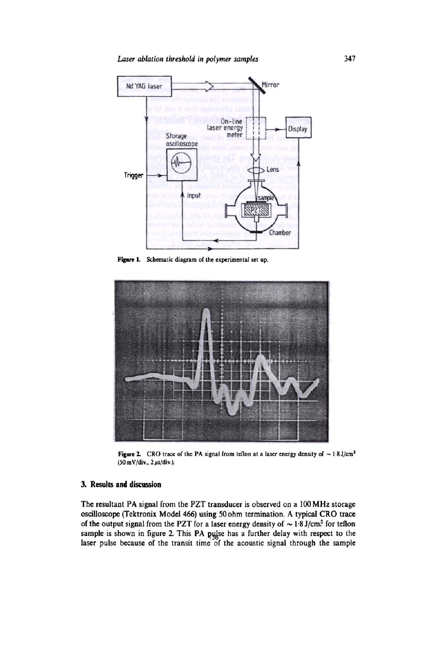*Laser ablation threshold* in *polyrmr samples* 



Figure 1. Schematic diagram of the experimental set up.



Figure 2. CRO trace of the PA signal from teflon at a laser energy density of  $\sim 1.8$  J/cm<sup>2</sup>  $(50 \text{ mV}/\text{div}$ ,  $2 \mu s/\text{div}$ .).

## 3. Results and discussion

The resultant PA signal from the PZT transducer is observed on a 100 MHz storage oscilloscope (Tektronix Model 466) using 50 ohm termination. A typical CRO trace of the output signal from the PZT for a laser energy density of  $\sim 1.8$  J/cm<sup>2</sup> for tellon sample is shown in figure 2. This PA pulse has a further delay with respect to the laser pulse because of the transit time of the acoustic signal through the sample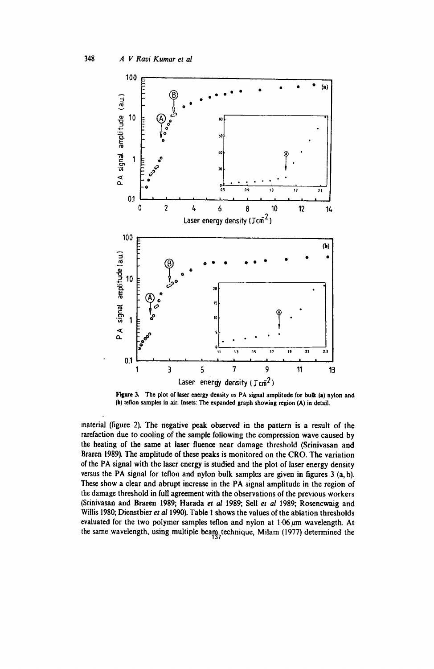

Figure 3. The plot of laser energy density us PA signal amplitude for bulk (a) nylon and (b) teflon samples in air. Insets: The expanded graph showing region (A) in detail.

material (figure 2). The negative peak observed in the pattern is a result of the rarefaction due to cooling of the sample following the compression wave caused by the heating of the same at laser fluence near damage threshold (Srinivasan and Braren 1989). The amplitude of these peaks is monitored on the CRO. The variation of the PA signal with the laser energy is studied and the plot of laser energy density versus the PA signal for teflon and nylon bulk samples are given in figures 3 (a, b). These show a clear and abrupt increase in the PA signal amplitude in the region of the damage threshold in full agreement with the observations of the previous workers (Srinivasan and Braren 1989; Harada et al 1989; Sell et al 1989; Rosencwaig and Willis 1980; Dienstbier et al 1990). Table 1 shows the values of the ablation thresholds evaluated for the two polymer samples teflon and nylon at  $1.06 \mu m$  wavelength. At the same wavelength, using multiple beam<sub>3</sub> technique, Milam (1977) determined the

348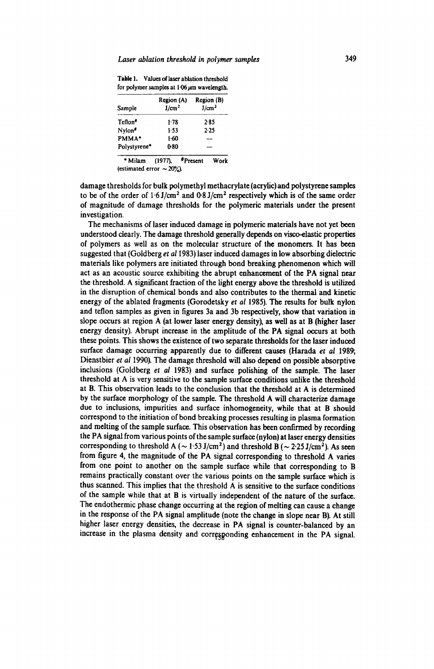|  | Table 1. Values of laser ablation threshold     |
|--|-------------------------------------------------|
|  | for polymer samples at $1.06 \mu m$ wavelength. |
|  |                                                 |

| Sample             | Region (A)<br>J/cm <sup>2</sup> | Region (B)<br>J/cm <sup>2</sup> |
|--------------------|---------------------------------|---------------------------------|
| Teflon*            | $1-78$                          | $2 - 85$                        |
| Nylon <sup>#</sup> | $1-53$                          | $2 - 25$                        |
| PMMA*              | 1-60                            |                                 |
| Polystyrene*       | 0-80                            |                                 |

\* Milam (1977), \*Present Work (estimated error  $\sim 20\%$ ).

damage thresholds for bulk polymethyl methacrylate (acrylic) and polystyrene samples to be of the order of  $1.6$  J/cm<sup>2</sup> and  $0.8$  J/cm<sup>2</sup> respectively which is of the same order of magnitude of damage thresholds for the polymeric materials under the present investigation.

The mechanisms of laser induced damage in polymeric materials have not yet been understood clearly. The damage threshold generally depends on visco-elastic properties of polymers as well as on the molecular structure of the monomers. It has been suggested that (Goldberg *et* a11983) laser induced damages in low absorbing dielectric materials like polymers are initiated through bond breaking phenomenon which will act as an acoustic source exhibiting the abrupt enhancement of the PA signal near the threshold. A significant fraction of the light energy above the threshold is utilized in the disruption of chemical bonds and also contributes to the thermal and kinetic energy of the ablated fragments (Gorodetsky *et al* 1985). The results for bulk nylon and teflon samples as given in figures 3a and 3b respectively, show that variation in slope occurs at region A (at lower laser energy density), as well as at B (higher laser energy density). Abrupt increase in the amplitude of the PA signal occurs at both these points. This shows the existence of two separate thresholds for the laser induced surface damage occurring apparently due to different causes (Harada *et* at 1989; Dienstbier *et all990).* The damage threshold will also depend on possible absorptive inclusions (Goldberg *et al* 1983) and surface polishing of the sample. The laser threshold at A is very sensitive to the sample surface conditions unlike the threshold at B. This observation leads to the conclusion that the threshold at A is determined by the surface morphology of the sample. The threshold A will characterize damage due to inclusions, impurities and surface inhomogeneity, while that at B should correspond to the initiation of bond breaking processes resulting in plasma formation and melting of the sample surface. This observation has been confirmed by recording the PA signal from various points of the sample surface (nylon) at laser energy densities corresponding to threshold A ( $\sim$  1·53 J/cm<sup>2</sup>) and threshold B ( $\sim$  2·25 J/cm<sup>2</sup>). As seen from figure 4, the magnitude of the PA signal corresponding to threshold A varies from one point to another on the sample surface while that corresponding to B remains practically constant over the various points on the sample surface which is thus scanned. This implies that the threshold A is sensitive to the surface conditions of the sample while that at B is virtually independent of the nature of the surface. The endothermic phase change occurring at the region of melting can cause a change in the response of the PA signal amplitude (note the change in slope near B). At still higher laser energy densities, the decrease in PA signal is counter-balanced by an increase in the plasma density and corresponding enhancement in the PA signal.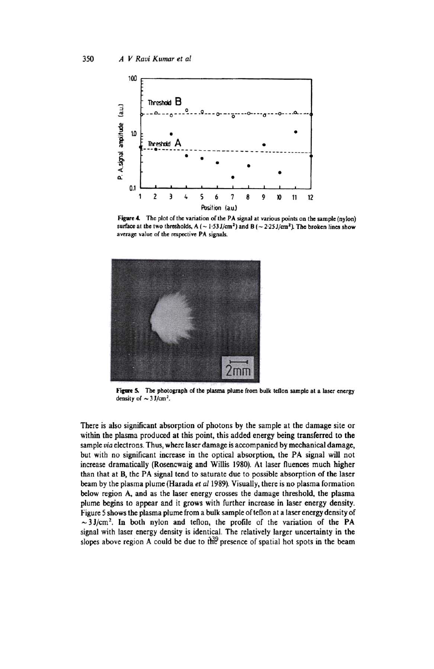

Figure 4. The plot of the variation of the PA signal at various points on the sample (nylon) surface at the two thresholds, A ( $\sim$  1.53 J/cm<sup>2</sup>) and B ( $\sim$  2.25 J/cm<sup>2</sup>). The broken lines show average value of the respective PA signals.



Figure 5. The photograph of the plasma plume from bulk teflon sample at a laser energy density of  $\sim$  3 J/cm<sup>2</sup>.

There is also significant absorption of photons by the sample at the damage site or within the plasma produced at this point, this added energy being transferred to the sample via electrons. Thus, where laser damage is accompanied by mechanical damage, but with no significant increase in the optical absorption, the PA signal will not increase dramatically (Rosencwaig and Willis 1980). At laser fluences much higher than that at B, the PA signal tend to saturate due to possible absorption of the laser beam by the plasma plume (Harada et al 1989). Visually, there is no plasma formation below region A, and as the laser energy crosses the damage threshold, the plasma plume begins to appear and it grows with further increase in laser energy density. Figure 5 shows the plasma plume from a bulk sample of tellon at a laser energy density of  $\sim$  3 J/cm<sup>2</sup>. In both nylon and tellon, the profile of the variation of the PA signal with laser energy density is identical. The relatively larger uncertainty in the slopes above region A could be due to the presence of spatial hot spots in the beam